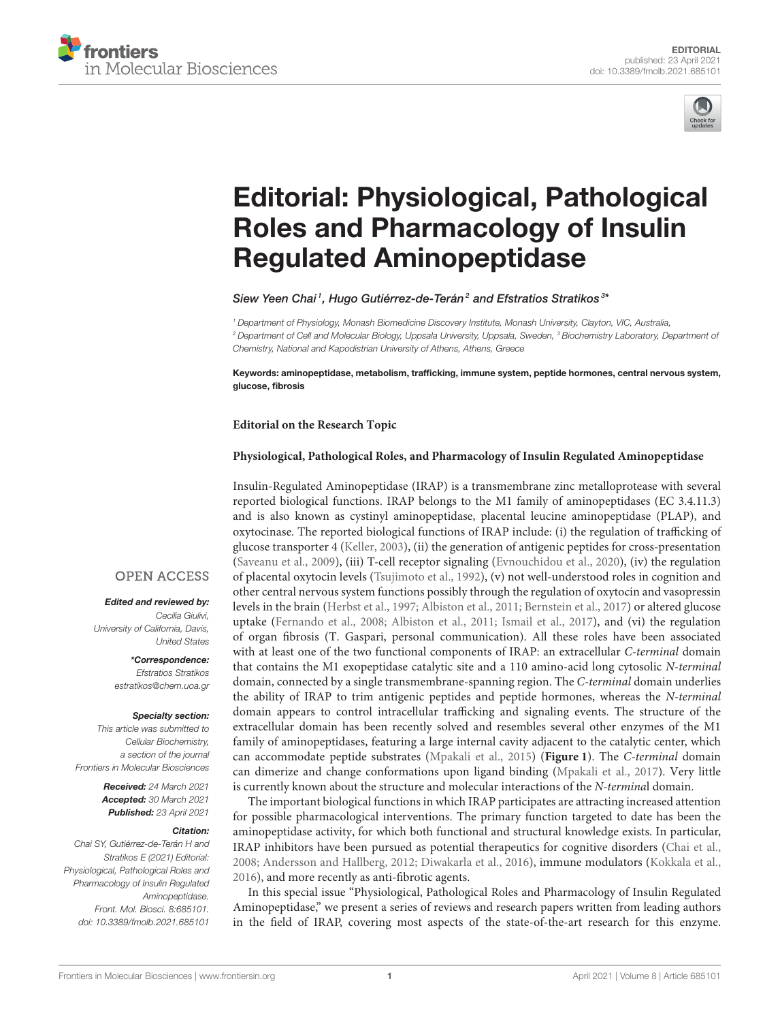



# [Editorial: Physiological, Pathological](https://www.frontiersin.org/articles/10.3389/fmolb.2021.685101/full) Roles and Pharmacology of Insulin Regulated Aminopeptidase

Siew Yeen Chai<sup>1</sup>, Hugo Gutiérrez-de-Terán<sup>2</sup> and Efstratios Stratikos<sup>3\*</sup>

<sup>1</sup> Department of Physiology, Monash Biomedicine Discovery Institute, Monash University, Clayton, VIC, Australia, <sup>2</sup> Department of Cell and Molecular Biology, Uppsala University, Uppsala, Sweden, <sup>3</sup> Biochemistry Laboratory, Department of Chemistry, National and Kapodistrian University of Athens, Athens, Greece

Keywords: aminopeptidase, metabolism, trafficking, immune system, peptide hormones, central nervous system, glucose, fibrosis

### **Editorial on the Research Topic**

## **[Physiological, Pathological Roles, and Pharmacology of Insulin Regulated Aminopeptidase](https://www.frontiersin.org/research-topics/12216/physiological-pathological-roles-and-pharmacology-of-insulin-regulated-aminopeptidase)**

Insulin-Regulated Aminopeptidase (IRAP) is a transmembrane zinc metalloprotease with several reported biological functions. IRAP belongs to the M1 family of aminopeptidases (EC 3.4.11.3) and is also known as cystinyl aminopeptidase, placental leucine aminopeptidase (PLAP), and oxytocinase. The reported biological functions of IRAP include: (i) the regulation of trafficking of glucose transporter 4 [\(Keller, 2003\)](#page-2-0), (ii) the generation of antigenic peptides for cross-presentation [\(Saveanu et al., 2009\)](#page-2-1), (iii) T-cell receptor signaling [\(Evnouchidou et al., 2020\)](#page-1-0), (iv) the regulation of placental oxytocin levels [\(Tsujimoto et al., 1992\)](#page-2-2), (v) not well-understood roles in cognition and other central nervous system functions possibly through the regulation of oxytocin and vasopressin levels in the brain [\(Herbst et al., 1997;](#page-1-1) [Albiston et al., 2011;](#page-1-2) [Bernstein et al., 2017\)](#page-1-3) or altered glucose uptake [\(Fernando et al., 2008;](#page-1-4) [Albiston et al., 2011;](#page-1-2) [Ismail et al., 2017\)](#page-2-3), and (vi) the regulation of organ fibrosis (T. Gaspari, personal communication). All these roles have been associated with at least one of the two functional components of IRAP: an extracellular C-terminal domain that contains the M1 exopeptidase catalytic site and a 110 amino-acid long cytosolic N-terminal domain, connected by a single transmembrane-spanning region. The C-terminal domain underlies the ability of IRAP to trim antigenic peptides and peptide hormones, whereas the N-terminal domain appears to control intracellular trafficking and signaling events. The structure of the extracellular domain has been recently solved and resembles several other enzymes of the M1 family of aminopeptidases, featuring a large internal cavity adjacent to the catalytic center, which can accommodate peptide substrates [\(Mpakali et al., 2015\)](#page-2-4) (**[Figure 1](#page-1-5)**). The C-terminal domain can dimerize and change conformations upon ligand binding [\(Mpakali et al., 2017\)](#page-2-5). Very little is currently known about the structure and molecular interactions of the N-terminal domain.

The important biological functions in which IRAP participates are attracting increased attention for possible pharmacological interventions. The primary function targeted to date has been the aminopeptidase activity, for which both functional and structural knowledge exists. In particular, IRAP inhibitors have been pursued as potential therapeutics for cognitive disorders [\(Chai et al.,](#page-1-6) [2008;](#page-1-6) [Andersson and Hallberg, 2012;](#page-1-7) [Diwakarla et al., 2016\)](#page-1-8), immune modulators [\(Kokkala et al.,](#page-2-6) [2016\)](#page-2-6), and more recently as anti-fibrotic agents.

In this special issue "Physiological, Pathological Roles and Pharmacology of Insulin Regulated Aminopeptidase," we present a series of reviews and research papers written from leading authors in the field of IRAP, covering most aspects of the state-of-the-art research for this enzyme.

## **OPEN ACCESS**

#### Edited and reviewed by:

Cecilia Giulivi, University of California, Davis, United States

> \*Correspondence: Efstratios Stratikos [estratikos@chem.uoa.gr](mailto:estratikos@chem.uoa.gr)

#### Specialty section:

This article was submitted to Cellular Biochemistry, a section of the journal Frontiers in Molecular Biosciences

> Received: 24 March 2021 Accepted: 30 March 2021 Published: 23 April 2021

#### Citation:

Chai SY, Gutiérrez-de-Terán H and Stratikos E (2021) Editorial: Physiological, Pathological Roles and Pharmacology of Insulin Regulated Aminopeptidase. Front. Mol. Biosci. 8:685101. doi: [10.3389/fmolb.2021.685101](https://doi.org/10.3389/fmolb.2021.685101)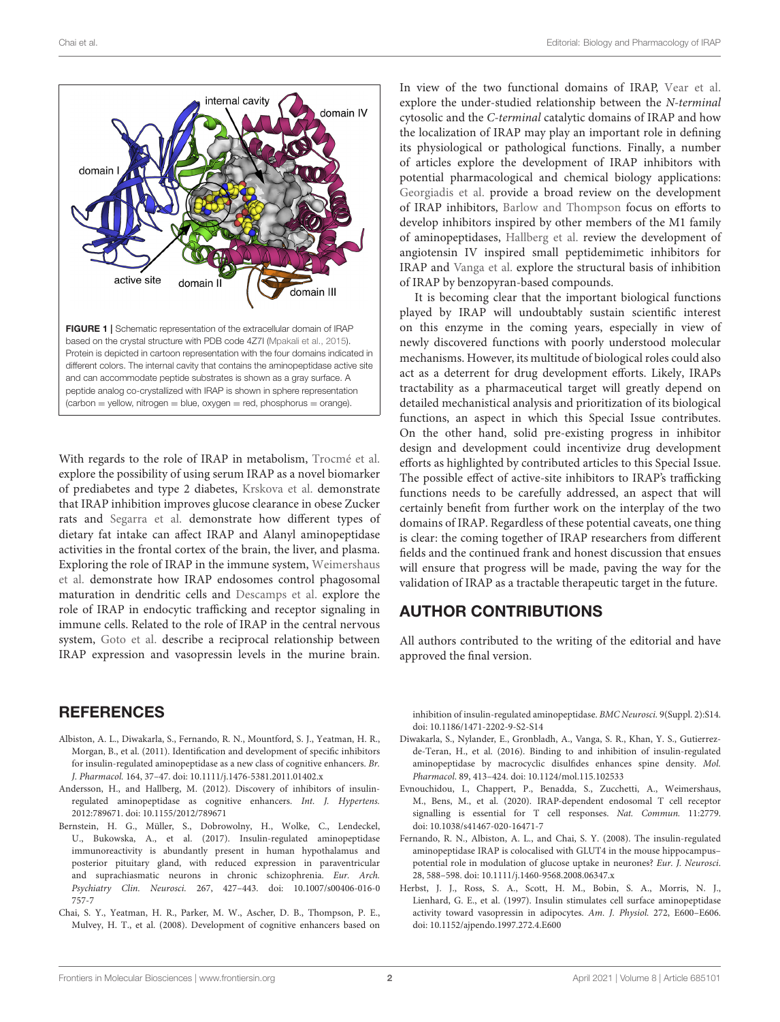

<span id="page-1-5"></span>With regards to the role of IRAP in metabolism, [Trocmé et al.](https://doi.org/10.3389/fmolb.2020.596141) explore the possibility of using serum IRAP as a novel biomarker of prediabetes and type 2 diabetes, [Krskova et al.](https://doi.org/10.3389/fmolb.2020.586225) demonstrate that IRAP inhibition improves glucose clearance in obese Zucker rats and [Segarra et al.](https://doi.org/10.3389/fmolb.2020.00094) demonstrate how different types of dietary fat intake can affect IRAP and Alanyl aminopeptidase activities in the frontal cortex of the brain, the liver, and plasma. Exploring the role of IRAP in the immune system, Weimershaus et al. [demonstrate how IRAP endosomes control phagosomal](https://doi.org/10.3389/fcell.2020.585713) maturation in dendritic cells and [Descamps et al.](https://doi.org/10.3389/fmolb.2020.583556) explore the role of IRAP in endocytic trafficking and receptor signaling in immune cells. Related to the role of IRAP in the central nervous system, [Goto et al.](https://doi.org/10.3389/fmolb.2020.00168) describe a reciprocal relationship between IRAP expression and vasopressin levels in the murine brain.

## **REFERENCES**

- <span id="page-1-2"></span>Albiston, A. L., Diwakarla, S., Fernando, R. N., Mountford, S. J., Yeatman, H. R., Morgan, B., et al. (2011). Identification and development of specific inhibitors for insulin-regulated aminopeptidase as a new class of cognitive enhancers. Br. J. Pharmacol. 164, 37–47. doi: [10.1111/j.1476-5381.2011.01402.x](https://doi.org/10.1111/j.1476-5381.2011.01402.x)
- <span id="page-1-7"></span>Andersson, H., and Hallberg, M. (2012). Discovery of inhibitors of insulinregulated aminopeptidase as cognitive enhancers. Int. J. Hypertens. 2012:789671. doi: [10.1155/2012/789671](https://doi.org/10.1155/2012/789671)
- <span id="page-1-3"></span>Bernstein, H. G., Müller, S., Dobrowolny, H., Wolke, C., Lendeckel, U., Bukowska, A., et al. (2017). Insulin-regulated aminopeptidase immunoreactivity is abundantly present in human hypothalamus and posterior pituitary gland, with reduced expression in paraventricular and suprachiasmatic neurons in chronic schizophrenia. Eur. Arch. Psychiatry Clin. Neurosci. [267, 427–443. doi: 10.1007/s00406-016-0](https://doi.org/10.1007/s00406-016-0757-7) 757-7
- <span id="page-1-6"></span>Chai, S. Y., Yeatman, H. R., Parker, M. W., Ascher, D. B., Thompson, P. E., Mulvey, H. T., et al. (2008). Development of cognitive enhancers based on

In view of the two functional domains of IRAP, [Vear et al.](https://doi.org/10.3389/fcell.2020.585237) explore the under-studied relationship between the N-terminal cytosolic and the C-terminal catalytic domains of IRAP and how the localization of IRAP may play an important role in defining its physiological or pathological functions. Finally, a number of articles explore the development of IRAP inhibitors with potential pharmacological and chemical biology applications: [Georgiadis et al.](https://doi.org/10.3389/fphar.2020.585838) provide a broad review on the development of IRAP inhibitors, [Barlow and Thompson](https://doi.org/10.3389/fphar.2020.585930) focus on efforts to develop inhibitors inspired by other members of the M1 family of aminopeptidases, [Hallberg et al.](https://doi.org/10.3389/fphar.2020.590855) review the development of angiotensin IV inspired small peptidemimetic inhibitors for IRAP and [Vanga et al.](https://doi.org/10.3389/fmolb.2021.625274) explore the structural basis of inhibition of IRAP by benzopyran-based compounds.

It is becoming clear that the important biological functions played by IRAP will undoubtably sustain scientific interest on this enzyme in the coming years, especially in view of newly discovered functions with poorly understood molecular mechanisms. However, its multitude of biological roles could also act as a deterrent for drug development efforts. Likely, IRAPs tractability as a pharmaceutical target will greatly depend on detailed mechanistical analysis and prioritization of its biological functions, an aspect in which this Special Issue contributes. On the other hand, solid pre-existing progress in inhibitor design and development could incentivize drug development efforts as highlighted by contributed articles to this Special Issue. The possible effect of active-site inhibitors to IRAP's trafficking functions needs to be carefully addressed, an aspect that will certainly benefit from further work on the interplay of the two domains of IRAP. Regardless of these potential caveats, one thing is clear: the coming together of IRAP researchers from different fields and the continued frank and honest discussion that ensues will ensure that progress will be made, paving the way for the validation of IRAP as a tractable therapeutic target in the future.

# AUTHOR CONTRIBUTIONS

All authors contributed to the writing of the editorial and have approved the final version.

inhibition of insulin-regulated aminopeptidase. BMC Neurosci. 9(Suppl. 2):S14. doi: [10.1186/1471-2202-9-S2-S14](https://doi.org/10.1186/1471-2202-9-S2-S14)

- <span id="page-1-8"></span>Diwakarla, S., Nylander, E., Gronbladh, A., Vanga, S. R., Khan, Y. S., Gutierrezde-Teran, H., et al. (2016). Binding to and inhibition of insulin-regulated aminopeptidase by macrocyclic disulfides enhances spine density. Mol. Pharmacol. 89, 413–424. doi: [10.1124/mol.115.102533](https://doi.org/10.1124/mol.115.102533)
- <span id="page-1-0"></span>Evnouchidou, I., Chappert, P., Benadda, S., Zucchetti, A., Weimershaus, M., Bens, M., et al. (2020). IRAP-dependent endosomal T cell receptor signalling is essential for T cell responses. Nat. Commun. 11:2779. doi: [10.1038/s41467-020-16471-7](https://doi.org/10.1038/s41467-020-16471-7)
- <span id="page-1-4"></span>Fernando, R. N., Albiston, A. L., and Chai, S. Y. (2008). The insulin-regulated aminopeptidase IRAP is colocalised with GLUT4 in the mouse hippocampus– potential role in modulation of glucose uptake in neurones? Eur. J. Neurosci. 28, 588–598. doi: [10.1111/j.1460-9568.2008.06347.x](https://doi.org/10.1111/j.1460-9568.2008.06347.x)
- <span id="page-1-1"></span>Herbst, J. J., Ross, S. A., Scott, H. M., Bobin, S. A., Morris, N. J., Lienhard, G. E., et al. (1997). Insulin stimulates cell surface aminopeptidase activity toward vasopressin in adipocytes. Am. J. Physiol. 272, E600–E606. doi: [10.1152/ajpendo.1997.272.4.E600](https://doi.org/10.1152/ajpendo.1997.272.4.E600)